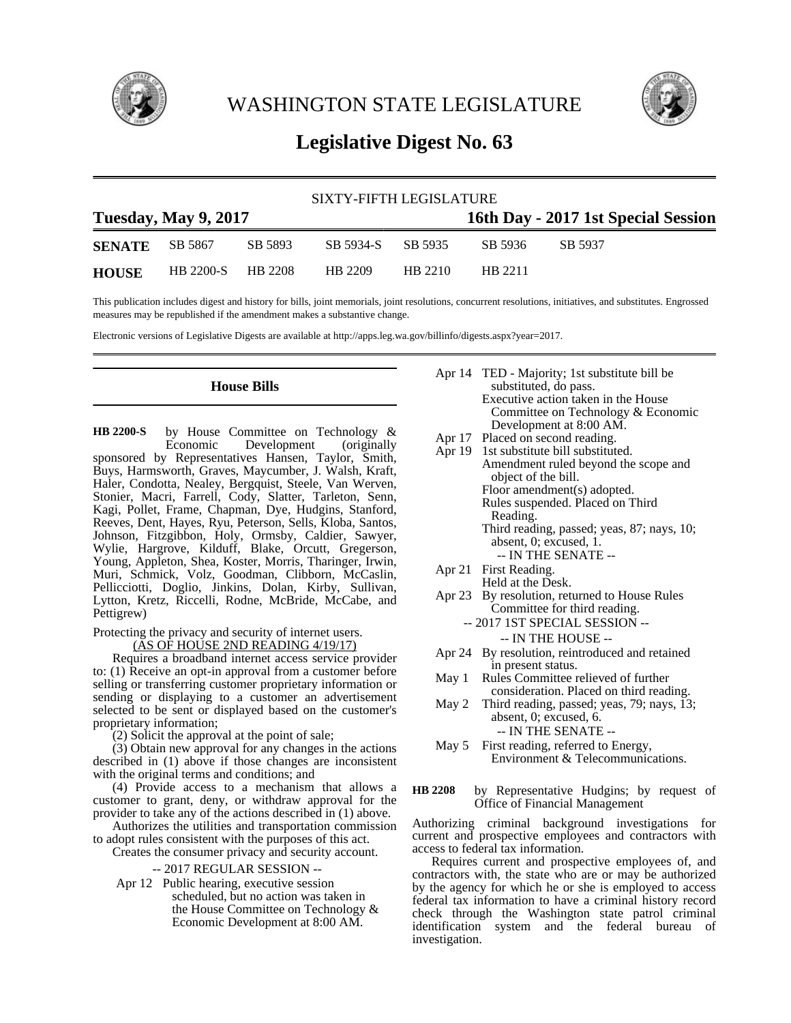

WASHINGTON STATE LEGISLATURE



# **Legislative Digest No. 63**

| SIXTY-FIFTH LEGISLATURE |                             |         |                   |         |         |         |                                     |  |
|-------------------------|-----------------------------|---------|-------------------|---------|---------|---------|-------------------------------------|--|
|                         | <b>Tuesday, May 9, 2017</b> |         |                   |         |         |         | 16th Day - 2017 1st Special Session |  |
| <b>SENATE</b> SB 5867   |                             | SB 5893 | SB 5934-S SB 5935 |         | SB 5936 | SB 5937 |                                     |  |
| <b>HOUSE</b>            | HB 2200-S HB 2208           |         | HB 2209           | HB 2210 | HB 2211 |         |                                     |  |

This publication includes digest and history for bills, joint memorials, joint resolutions, concurrent resolutions, initiatives, and substitutes. Engrossed measures may be republished if the amendment makes a substantive change.

Electronic versions of Legislative Digests are available at http://apps.leg.wa.gov/billinfo/digests.aspx?year=2017.

## **House Bills**

by House Committee on Technology &<br>Economic Development (originally Development (originally sponsored by Representatives Hansen, Taylor, Smith, Buys, Harmsworth, Graves, Maycumber, J. Walsh, Kraft, Haler, Condotta, Nealey, Bergquist, Steele, Van Werven, Stonier, Macri, Farrell, Cody, Slatter, Tarleton, Senn, Kagi, Pollet, Frame, Chapman, Dye, Hudgins, Stanford, Reeves, Dent, Hayes, Ryu, Peterson, Sells, Kloba, Santos, Johnson, Fitzgibbon, Holy, Ormsby, Caldier, Sawyer, Wylie, Hargrove, Kilduff, Blake, Orcutt, Gregerson, Young, Appleton, Shea, Koster, Morris, Tharinger, Irwin, Muri, Schmick, Volz, Goodman, Clibborn, McCaslin, Pellicciotti, Doglio, Jinkins, Dolan, Kirby, Sullivan, Lytton, Kretz, Riccelli, Rodne, McBride, McCabe, and Pettigrew) **HB 2200-S**

Protecting the privacy and security of internet users.

(AS OF HOUSE 2ND READING 4/19/17)

Requires a broadband internet access service provider to: (1) Receive an opt-in approval from a customer before selling or transferring customer proprietary information or sending or displaying to a customer an advertisement selected to be sent or displayed based on the customer's proprietary information;

(2) Solicit the approval at the point of sale;

(3) Obtain new approval for any changes in the actions described in (1) above if those changes are inconsistent with the original terms and conditions; and

(4) Provide access to a mechanism that allows a customer to grant, deny, or withdraw approval for the provider to take any of the actions described in (1) above.

Authorizes the utilities and transportation commission to adopt rules consistent with the purposes of this act.

Creates the consumer privacy and security account.

-- 2017 REGULAR SESSION --

Apr 12 Public hearing, executive session scheduled, but no action was taken in the House Committee on Technology & Economic Development at 8:00 AM.

|                    | Apr 14 TED - Majority; 1st substitute bill be |
|--------------------|-----------------------------------------------|
|                    | substituted, do pass.                         |
|                    | Executive action taken in the House           |
|                    | Committee on Technology & Economic            |
|                    | Development at 8:00 AM.                       |
| $\Lambda$ and $17$ | Dlossed on second reading                     |

- Apr 17 Placed on second reading.
- Apr 19 1st substitute bill substituted. Amendment ruled beyond the scope and object of the bill. Floor amendment(s) adopted. Rules suspended. Placed on Third Reading. Third reading, passed; yeas, 87; nays, 10; absent, 0; excused, 1.
	- -- IN THE SENATE --
- Apr 21 First Reading.
- Held at the Desk.
- Apr 23 By resolution, returned to House Rules Committee for third reading.
	- -- 2017 1ST SPECIAL SESSION -- -- IN THE HOUSE --
- Apr 24 By resolution, reintroduced and retained in present status.
- May 1 Rules Committee relieved of further consideration. Placed on third reading.
- May 2 Third reading, passed; yeas, 79; nays, 13; absent, 0; excused, 6. -- IN THE SENATE --
- May 5 First reading, referred to Energy, Environment & Telecommunications.
- by Representative Hudgins; by request of Office of Financial Management **HB 2208**

Authorizing criminal background investigations for current and prospective employees and contractors with access to federal tax information.

Requires current and prospective employees of, and contractors with, the state who are or may be authorized by the agency for which he or she is employed to access federal tax information to have a criminal history record check through the Washington state patrol criminal identification system and the federal bureau of investigation.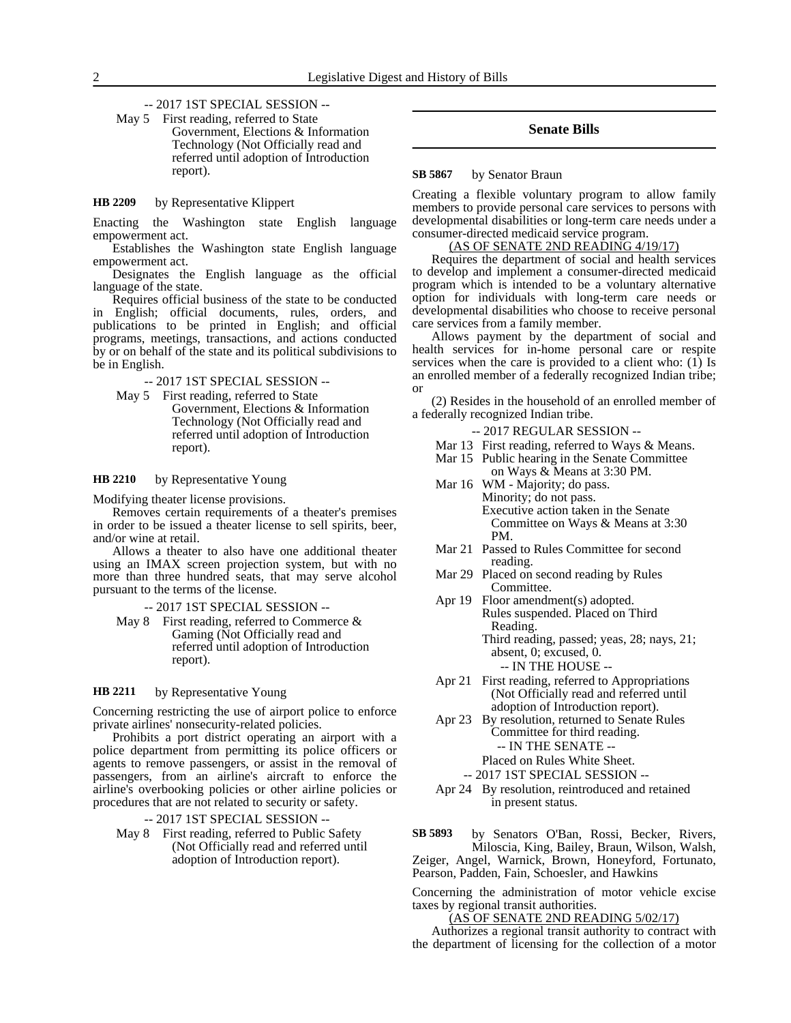-- 2017 1ST SPECIAL SESSION --

May 5 First reading, referred to State Government, Elections & Information Technology (Not Officially read and referred until adoption of Introduction report).

by Representative Klippert **HB 2209**

Enacting the Washington state English language empowerment act.

Establishes the Washington state English language empowerment act.

Designates the English language as the official language of the state.

Requires official business of the state to be conducted in English; official documents, rules, orders, and publications to be printed in English; and official programs, meetings, transactions, and actions conducted by or on behalf of the state and its political subdivisions to be in English.

-- 2017 1ST SPECIAL SESSION --

May 5 First reading, referred to State Government, Elections & Information Technology (Not Officially read and referred until adoption of Introduction report).

#### by Representative Young **HB 2210**

Modifying theater license provisions.

Removes certain requirements of a theater's premises in order to be issued a theater license to sell spirits, beer, and/or wine at retail.

Allows a theater to also have one additional theater using an IMAX screen projection system, but with no more than three hundred seats, that may serve alcohol pursuant to the terms of the license.

-- 2017 1ST SPECIAL SESSION --

May 8 First reading, referred to Commerce & Gaming (Not Officially read and referred until adoption of Introduction report).

#### by Representative Young **HB 2211**

Concerning restricting the use of airport police to enforce private airlines' nonsecurity-related policies.

Prohibits a port district operating an airport with a police department from permitting its police officers or agents to remove passengers, or assist in the removal of passengers, from an airline's aircraft to enforce the airline's overbooking policies or other airline policies or procedures that are not related to security or safety.

-- 2017 1ST SPECIAL SESSION --

May 8 First reading, referred to Public Safety (Not Officially read and referred until adoption of Introduction report).

### **Senate Bills**

#### by Senator Braun **SB 5867**

Creating a flexible voluntary program to allow family members to provide personal care services to persons with developmental disabilities or long-term care needs under a consumer-directed medicaid service program.

### (AS OF SENATE 2ND READING 4/19/17)

Requires the department of social and health services to develop and implement a consumer-directed medicaid program which is intended to be a voluntary alternative option for individuals with long-term care needs or developmental disabilities who choose to receive personal care services from a family member.

Allows payment by the department of social and health services for in-home personal care or respite services when the care is provided to a client who:  $(1)$  Is an enrolled member of a federally recognized Indian tribe; or

(2) Resides in the household of an enrolled member of a federally recognized Indian tribe.

-- 2017 REGULAR SESSION --

- Mar 13 First reading, referred to Ways & Means.
- Mar 15 Public hearing in the Senate Committee
- on Ways & Means at 3:30 PM. Mar 16 WM - Majority; do pass. Minority; do not pass.

Executive action taken in the Senate Committee on Ways & Means at 3:30 PM.

- Mar 21 Passed to Rules Committee for second reading.
- Mar 29 Placed on second reading by Rules Committee.
- Apr 19 Floor amendment(s) adopted. Rules suspended. Placed on Third Reading. Third reading, passed; yeas, 28; nays, 21; absent, 0; excused, 0. -- IN THE HOUSE --
- Apr 21 First reading, referred to Appropriations (Not Officially read and referred until adoption of Introduction report).
- Apr 23 By resolution, returned to Senate Rules Committee for third reading. -- IN THE SENATE --
	- Placed on Rules White Sheet.
	- -- 2017 1ST SPECIAL SESSION --
- Apr 24 By resolution, reintroduced and retained in present status.

by Senators O'Ban, Rossi, Becker, Rivers, Miloscia, King, Bailey, Braun, Wilson, Walsh, Zeiger, Angel, Warnick, Brown, Honeyford, Fortunato, Pearson, Padden, Fain, Schoesler, and Hawkins **SB 5893**

Concerning the administration of motor vehicle excise taxes by regional transit authorities.

(AS OF SENATE 2ND READING 5/02/17)

Authorizes a regional transit authority to contract with the department of licensing for the collection of a motor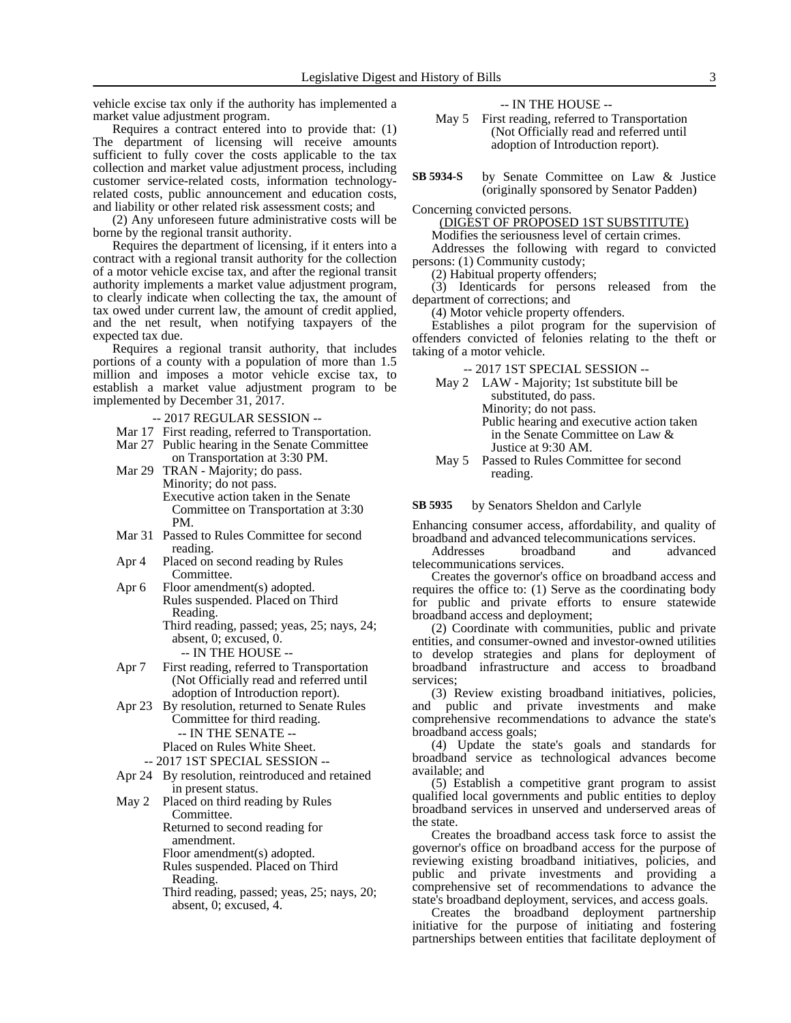vehicle excise tax only if the authority has implemented a market value adjustment program.

Requires a contract entered into to provide that: (1) The department of licensing will receive amounts sufficient to fully cover the costs applicable to the tax collection and market value adjustment process, including customer service-related costs, information technologyrelated costs, public announcement and education costs, and liability or other related risk assessment costs; and

(2) Any unforeseen future administrative costs will be borne by the regional transit authority.

Requires the department of licensing, if it enters into a contract with a regional transit authority for the collection of a motor vehicle excise tax, and after the regional transit authority implements a market value adjustment program, to clearly indicate when collecting the tax, the amount of tax owed under current law, the amount of credit applied, and the net result, when notifying taxpayers of the expected tax due.

Requires a regional transit authority, that includes portions of a county with a population of more than 1.5 million and imposes a motor vehicle excise tax, to establish a market value adjustment program to be implemented by December 31, 2017.

- -- 2017 REGULAR SESSION --
- Mar 17 First reading, referred to Transportation.
- Mar 27 Public hearing in the Senate Committee on Transportation at 3:30 PM.
- Mar 29 TRAN Majority; do pass. Minority; do not pass. Executive action taken in the Senate Committee on Transportation at 3:30 PM.
- Mar 31 Passed to Rules Committee for second reading.
- Apr 4 Placed on second reading by Rules Committee.
- Apr 6 Floor amendment(s) adopted. Rules suspended. Placed on Third Reading. Third reading, passed; yeas, 25; nays, 24; absent, 0; excused, 0. -- IN THE HOUSE --
- Apr 7 First reading, referred to Transportation (Not Officially read and referred until adoption of Introduction report).
- Apr 23 By resolution, returned to Senate Rules Committee for third reading. -- IN THE SENATE -- Placed on Rules White Sheet.
	- -- 2017 1ST SPECIAL SESSION --
- Apr 24 By resolution, reintroduced and retained in present status.
- May 2 Placed on third reading by Rules Committee. Returned to second reading for amendment. Floor amendment(s) adopted. Rules suspended. Placed on Third Reading.
	- Third reading, passed; yeas, 25; nays, 20; absent, 0; excused, 4.

### -- IN THE HOUSE --

- May 5 First reading, referred to Transportation (Not Officially read and referred until adoption of Introduction report).
- by Senate Committee on Law & Justice (originally sponsored by Senator Padden) **SB 5934-S**

Concerning convicted persons.

(DIGEST OF PROPOSED 1ST SUBSTITUTE)

Modifies the seriousness level of certain crimes.

Addresses the following with regard to convicted persons: (1) Community custody;

(2) Habitual property offenders;

(3) Identicards for persons released from the department of corrections; and

(4) Motor vehicle property offenders.

Establishes a pilot program for the supervision of offenders convicted of felonies relating to the theft or taking of a motor vehicle.

-- 2017 1ST SPECIAL SESSION --

- May 2 LAW Majority; 1st substitute bill be substituted, do pass. Minority; do not pass. Public hearing and executive action taken in the Senate Committee on Law & Justice at 9:30 AM.
- May 5 Passed to Rules Committee for second reading.

by Senators Sheldon and Carlyle **SB 5935**

Enhancing consumer access, affordability, and quality of broadband and advanced telecommunications services.

Addresses broadband and advanced telecommunications services.

Creates the governor's office on broadband access and requires the office to: (1) Serve as the coordinating body for public and private efforts to ensure statewide broadband access and deployment;

(2) Coordinate with communities, public and private entities, and consumer-owned and investor-owned utilities to develop strategies and plans for deployment of broadband infrastructure and access to broadband services;

(3) Review existing broadband initiatives, policies, and public and private investments and make comprehensive recommendations to advance the state's broadband access goals;

(4) Update the state's goals and standards for broadband service as technological advances become available; and

(5) Establish a competitive grant program to assist qualified local governments and public entities to deploy broadband services in unserved and underserved areas of the state.

Creates the broadband access task force to assist the governor's office on broadband access for the purpose of reviewing existing broadband initiatives, policies, and public and private investments and providing a comprehensive set of recommendations to advance the state's broadband deployment, services, and access goals.

Creates the broadband deployment partnership initiative for the purpose of initiating and fostering partnerships between entities that facilitate deployment of